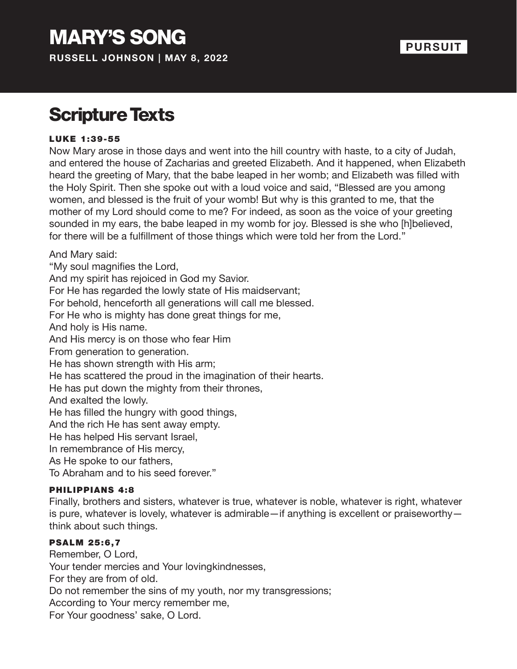**RUSSELL JOHNSON | MAY 8, 2022**

### **PURSUIT**

### Scripture Texts

#### LUKE 1:39-55

Now Mary arose in those days and went into the hill country with haste, to a city of Judah, and entered the house of Zacharias and greeted Elizabeth. And it happened, when Elizabeth heard the greeting of Mary, that the babe leaped in her womb; and Elizabeth was filled with the Holy Spirit. Then she spoke out with a loud voice and said, "Blessed are you among women, and blessed is the fruit of your womb! But why is this granted to me, that the mother of my Lord should come to me? For indeed, as soon as the voice of your greeting sounded in my ears, the babe leaped in my womb for joy. Blessed is she who [h]believed, for there will be a fulfillment of those things which were told her from the Lord."

And Mary said:

"My soul magnifies the Lord,

And my spirit has rejoiced in God my Savior.

For He has regarded the lowly state of His maidservant;

For behold, henceforth all generations will call me blessed.

For He who is mighty has done great things for me,

And holy is His name.

And His mercy is on those who fear Him

From generation to generation.

He has shown strength with His arm;

He has scattered the proud in the imagination of their hearts.

He has put down the mighty from their thrones,

And exalted the lowly.

He has filled the hungry with good things,

And the rich He has sent away empty.

He has helped His servant Israel,

In remembrance of His mercy,

As He spoke to our fathers,

To Abraham and to his seed forever."

#### PHILIPPIANS 4:8

Finally, brothers and sisters, whatever is true, whatever is noble, whatever is right, whatever is pure, whatever is lovely, whatever is admirable—if anything is excellent or praiseworthy think about such things.

#### PSALM 25:6,7

Remember, O Lord, Your tender mercies and Your lovingkindnesses, For they are from of old. Do not remember the sins of my youth, nor my transgressions; According to Your mercy remember me, For Your goodness' sake, O Lord.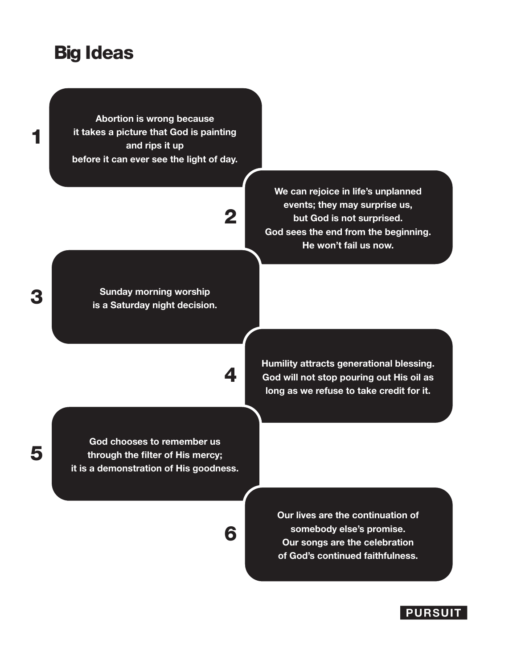### Big Ideas

**Abortion is wrong because it takes a picture that God is painting and rips it up before it can ever see the light of day.**

# 2

**Sunday morning worship is a Saturday night decision.** 

4

6

**We can rejoice in life's unplanned events; they may surprise us, but God is not surprised. God sees the end from the beginning. He won't fail us now.**

**Humility attracts generational blessing. God will not stop pouring out His oil as long as we refuse to take credit for it.**

**God chooses to remember us through the filter of His mercy; it is a demonstration of His goodness.**

> **Our lives are the continuation of somebody else's promise. Our songs are the celebration of God's continued faithfulness.**



### 3

1

5